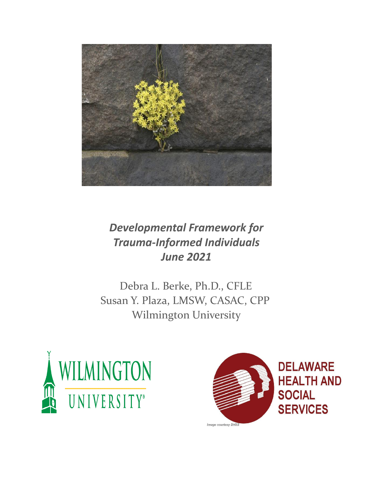

## *Developmental Framework for Trauma-Informed Individuals June 2021*

Debra L. Berke, Ph.D., CFLE Susan Y. Plaza, LMSW, CASAC, CPP Wilmington University



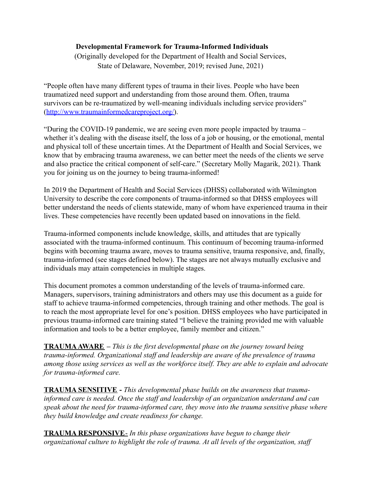## **Developmental Framework for Trauma-Informed Individuals**

(Originally developed for the Department of Health and Social Services, State of Delaware, November, 2019; revised June, 2021)

"People often have many different types of trauma in their lives. People who have been traumatized need support and understanding from those around them. Often, trauma survivors can be re-traumatized by well-meaning individuals including service providers" ([http://www.traumainformedcareproject.org/\).](http://www.traumainformedcareproject.org/))

"During the COVID-19 pandemic, we are seeing even more people impacted by trauma – whether it's dealing with the disease itself, the loss of a job or housing, or the emotional, mental and physical toll of these uncertain times. At the Department of Health and Social Services, we know that by embracing trauma awareness, we can better meet the needs of the clients we serve and also practice the critical component of self-care." (Secretary Molly Magarik, 2021). Thank you for joining us on the journey to being trauma-informed!

In 2019 the Department of Health and Social Services (DHSS) collaborated with Wilmington University to describe the core components of trauma-informed so that DHSS employees will better understand the needs of clients statewide, many of whom have experienced trauma in their lives. These competencies have recently been updated based on innovations in the field.

Trauma-informed components include knowledge, skills, and attitudes that are typically associated with the trauma-informed continuum. This continuum of becoming trauma-informed begins with becoming trauma aware, moves to trauma sensitive, trauma responsive, and, finally, trauma-informed (see stages defined below). The stages are not always mutually exclusive and individuals may attain competencies in multiple stages.

This document promotes a common understanding of the levels of trauma-informed care. Managers, supervisors, training administrators and others may use this document as a guide for staff to achieve trauma-informed competencies, through training and other methods. The goal is to reach the most appropriate level for one's position. DHSS employees who have participated in previous trauma-informed care training stated "I believe the training provided me with valuable information and tools to be a better employee, family member and citizen."

**TRAUMAAWARE –** *This is the first developmental phase on the journey toward being trauma-informed. Organizational staff and leadership are aware of the prevalence of trauma among those using services as well as the workforce itself. They are able to explain and advocate for trauma-informed care.*

**TRAUMA SENSITIVE -** *This developmental phase builds on the awareness that traumainformed care is needed. Once the staff and leadership of an organization understand and can speak about the need for trauma-informed care, they move into the trauma sensitive phase where they build knowledge and create readiness for change.*

**TRAUMA RESPONSIVE**- *In this phase organizations have begun to change their organizational culture to highlight the role of trauma. At all levels of the organization, staff*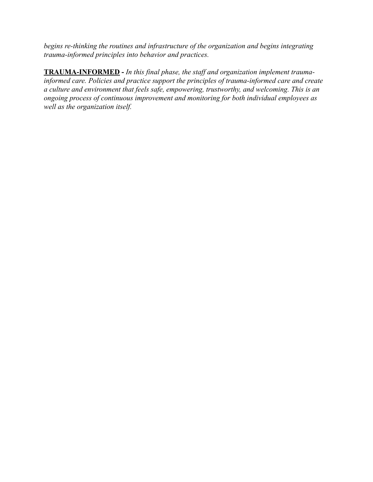*begins re-thinking the routines and infrastructure of the organization and begins integrating trauma-informed principles into behavior and practices.*

**TRAUMA-INFORMED -** *In this final phase, the staff and organization implement traumainformed care. Policies and practice support the principles of trauma-informed care and create a culture and environment that feels safe, empowering, trustworthy, and welcoming. This is an ongoing process of continuous improvement and monitoring for both individual employees as well as the organization itself.*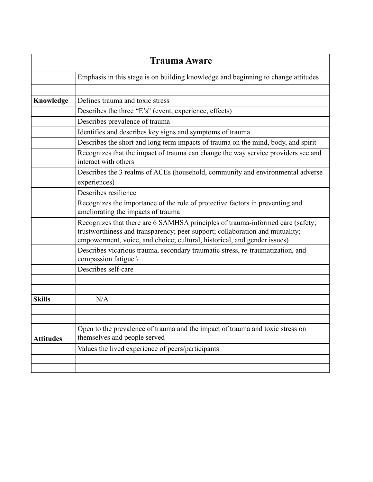| <b>Trauma Aware</b> |                                                                                                                                                                                                                                            |  |
|---------------------|--------------------------------------------------------------------------------------------------------------------------------------------------------------------------------------------------------------------------------------------|--|
|                     | Emphasis in this stage is on building knowledge and beginning to change attitudes                                                                                                                                                          |  |
|                     |                                                                                                                                                                                                                                            |  |
| Knowledge           | Defines trauma and toxic stress                                                                                                                                                                                                            |  |
|                     | Describes the three "E's" (event, experience, effects)                                                                                                                                                                                     |  |
|                     | Describes prevalence of trauma                                                                                                                                                                                                             |  |
|                     | Identifies and describes key signs and symptoms of trauma                                                                                                                                                                                  |  |
|                     | Describes the short and long term impacts of trauma on the mind, body, and spirit                                                                                                                                                          |  |
|                     | Recognizes that the impact of trauma can change the way service providers see and<br>interact with others                                                                                                                                  |  |
|                     | Describes the 3 realms of ACEs (household, community and environmental adverse<br>experiences)                                                                                                                                             |  |
|                     | Describes resilience                                                                                                                                                                                                                       |  |
|                     | Recognizes the importance of the role of protective factors in preventing and<br>ameliorating the impacts of trauma                                                                                                                        |  |
|                     | Recognizes that there are 6 SAMHSA principles of trauma-informed care (safety;<br>trustworthiness and transparency; peer support; collaboration and mutuality;<br>empowerment, voice, and choice; cultural, historical, and gender issues) |  |
|                     | Describes vicarious trauma, secondary traumatic stress, re-traumatization, and<br>compassion fatigue \                                                                                                                                     |  |
|                     | Describes self-care                                                                                                                                                                                                                        |  |
|                     |                                                                                                                                                                                                                                            |  |
| <b>Skills</b>       | N/A                                                                                                                                                                                                                                        |  |
|                     |                                                                                                                                                                                                                                            |  |
|                     |                                                                                                                                                                                                                                            |  |
| <b>Attitudes</b>    | Open to the prevalence of trauma and the impact of trauma and toxic stress on<br>themselves and people served                                                                                                                              |  |
|                     | Values the lived experience of peers/participants                                                                                                                                                                                          |  |
|                     |                                                                                                                                                                                                                                            |  |
|                     |                                                                                                                                                                                                                                            |  |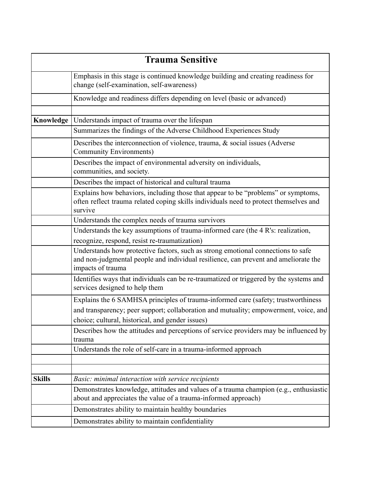|               | <b>Trauma Sensitive</b>                                                                                                                                                                      |
|---------------|----------------------------------------------------------------------------------------------------------------------------------------------------------------------------------------------|
|               | Emphasis in this stage is continued knowledge building and creating readiness for<br>change (self-examination, self-awareness)                                                               |
|               | Knowledge and readiness differs depending on level (basic or advanced)                                                                                                                       |
| Knowledge     | Understands impact of trauma over the lifespan                                                                                                                                               |
|               | Summarizes the findings of the Adverse Childhood Experiences Study                                                                                                                           |
|               | Describes the interconnection of violence, trauma, $\&$ social issues (Adverse<br><b>Community Environments)</b>                                                                             |
|               | Describes the impact of environmental adversity on individuals,<br>communities, and society.                                                                                                 |
|               | Describes the impact of historical and cultural trauma                                                                                                                                       |
|               | Explains how behaviors, including those that appear to be "problems" or symptoms,<br>often reflect trauma related coping skills individuals need to protect themselves and<br>survive        |
|               | Understands the complex needs of trauma survivors                                                                                                                                            |
|               | Understands the key assumptions of trauma-informed care (the 4 R's: realization,                                                                                                             |
|               | recognize, respond, resist re-traumatization)                                                                                                                                                |
|               | Understands how protective factors, such as strong emotional connections to safe<br>and non-judgmental people and individual resilience, can prevent and ameliorate the<br>impacts of trauma |
|               | Identifies ways that individuals can be re-traumatized or triggered by the systems and<br>services designed to help them                                                                     |
|               | Explains the 6 SAMHSA principles of trauma-informed care (safety; trustworthiness                                                                                                            |
|               | and transparency; peer support; collaboration and mutuality; empowerment, voice, and<br>choice; cultural, historical, and gender issues)                                                     |
|               | Describes how the attitudes and perceptions of service providers may be influenced by<br>trauma                                                                                              |
|               | Understands the role of self-care in a trauma-informed approach                                                                                                                              |
|               |                                                                                                                                                                                              |
| <b>Skills</b> | Basic: minimal interaction with service recipients                                                                                                                                           |
|               | Demonstrates knowledge, attitudes and values of a trauma champion (e.g., enthusiastic<br>about and appreciates the value of a trauma-informed approach)                                      |
|               | Demonstrates ability to maintain healthy boundaries                                                                                                                                          |
|               | Demonstrates ability to maintain confidentiality                                                                                                                                             |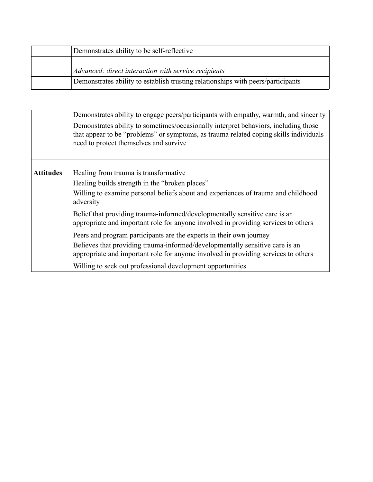| Demonstrates ability to be self-reflective                                       |
|----------------------------------------------------------------------------------|
|                                                                                  |
| Advanced: direct interaction with service recipients                             |
| Demonstrates ability to establish trusting relationships with peers/participants |

Demonstrates ability to engage peers/participants with empathy, warmth, and sincerity Demonstrates ability to sometimes/occasionally interpret behaviors, including those that appear to be "problems" or symptoms, as trauma related coping skills individuals need to protect themselves and survive

Attitudes Healing from trauma is transformative

Healing builds strength in the "broken places"

Willing to examine personal beliefs about and experiences of trauma and childhood adversity

Belief that providing trauma-informed/developmentally sensitive care is an appropriate and important role for anyone involved in providing services to others

Peers and program participants are the experts in their own journey Believes that providing trauma-informed/developmentally sensitive care is an appropriate and important role for anyone involved in providing services to others

Willing to seek out professional development opportunities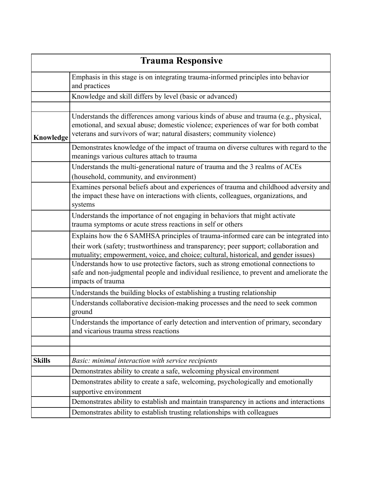| <b>Trauma Responsive</b> |                                                                                                                                                                                                                                                                                                                                                           |
|--------------------------|-----------------------------------------------------------------------------------------------------------------------------------------------------------------------------------------------------------------------------------------------------------------------------------------------------------------------------------------------------------|
|                          | Emphasis in this stage is on integrating trauma-informed principles into behavior<br>and practices                                                                                                                                                                                                                                                        |
|                          | Knowledge and skill differs by level (basic or advanced)                                                                                                                                                                                                                                                                                                  |
|                          |                                                                                                                                                                                                                                                                                                                                                           |
| Knowledge                | Understands the differences among various kinds of abuse and trauma (e.g., physical,<br>emotional, and sexual abuse; domestic violence; experiences of war for both combat<br>veterans and survivors of war; natural disasters; community violence)                                                                                                       |
|                          | Demonstrates knowledge of the impact of trauma on diverse cultures with regard to the<br>meanings various cultures attach to trauma                                                                                                                                                                                                                       |
|                          | Understands the multi-generational nature of trauma and the 3 realms of ACEs<br>(household, community, and environment)                                                                                                                                                                                                                                   |
|                          | Examines personal beliefs about and experiences of trauma and childhood adversity and<br>the impact these have on interactions with clients, colleagues, organizations, and<br>systems                                                                                                                                                                    |
|                          | Understands the importance of not engaging in behaviors that might activate<br>trauma symptoms or acute stress reactions in self or others                                                                                                                                                                                                                |
|                          | Explains how the 6 SAMHSA principles of trauma-informed care can be integrated into<br>their work (safety; trustworthiness and transparency; peer support; collaboration and<br>mutuality; empowerment, voice, and choice; cultural, historical, and gender issues)<br>Understands how to use protective factors, such as strong emotional connections to |
|                          | safe and non-judgmental people and individual resilience, to prevent and ameliorate the<br>impacts of trauma                                                                                                                                                                                                                                              |
|                          | Understands the building blocks of establishing a trusting relationship                                                                                                                                                                                                                                                                                   |
|                          | Understands collaborative decision-making processes and the need to seek common<br>ground                                                                                                                                                                                                                                                                 |
|                          | Understands the importance of early detection and intervention of primary, secondary<br>and vicarious trauma stress reactions                                                                                                                                                                                                                             |
|                          |                                                                                                                                                                                                                                                                                                                                                           |
|                          |                                                                                                                                                                                                                                                                                                                                                           |
| <b>Skills</b>            | Basic: minimal interaction with service recipients                                                                                                                                                                                                                                                                                                        |
|                          | Demonstrates ability to create a safe, welcoming physical environment                                                                                                                                                                                                                                                                                     |
|                          | Demonstrates ability to create a safe, welcoming, psychologically and emotionally                                                                                                                                                                                                                                                                         |
|                          | supportive environment                                                                                                                                                                                                                                                                                                                                    |
|                          | Demonstrates ability to establish and maintain transparency in actions and interactions                                                                                                                                                                                                                                                                   |
|                          | Demonstrates ability to establish trusting relationships with colleagues                                                                                                                                                                                                                                                                                  |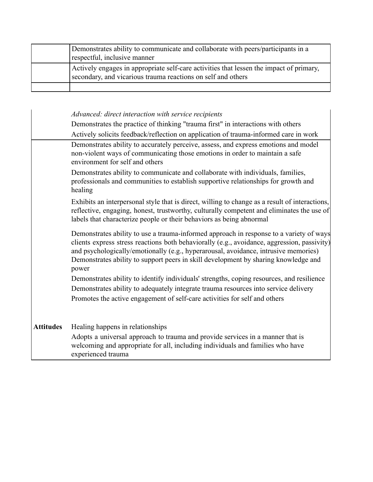| Demonstrates ability to communicate and collaborate with peers/participants in a<br>respectful, inclusive manner                                        |
|---------------------------------------------------------------------------------------------------------------------------------------------------------|
| Actively engages in appropriate self-care activities that lessen the impact of primary,<br>secondary, and vicarious trauma reactions on self and others |
|                                                                                                                                                         |

## *Advanced: direct interaction with service recipients* Demonstrates the practice of thinking "trauma first" in interactions with others Actively solicits feedback/reflection on application of trauma-informed care in work Demonstrates ability to accurately perceive, assess, and express emotions and model non-violent ways of communicating those emotions in order to maintain a safe environment for self and others Demonstrates ability to communicate and collaborate with individuals, families, professionals and communities to establish supportive relationships for growth and healing Exhibits an interpersonal style that is direct, willing to change as a result of interactions, reflective, engaging, honest, trustworthy, culturally competent and eliminates the use of labels that characterize people or their behaviors as being abnormal Demonstrates ability to use a trauma-informed approach in response to a variety of ways clients express stress reactions both behaviorally (e.g., avoidance, aggression, passivity) and psychologically/emotionally (e.g., hyperarousal, avoidance, intrusive memories) Demonstrates ability to support peers in skill development by sharing knowledge and power Demonstrates ability to identify individuals' strengths, coping resources, and resilience Demonstrates ability to adequately integrate trauma resources into service delivery Promotes the active engagement of self-care activities for self and others **Attitudes** Healing happens in relationships Adopts a universal approach to trauma and provide services in a manner that is welcoming and appropriate for all, including individuals and families who have experienced trauma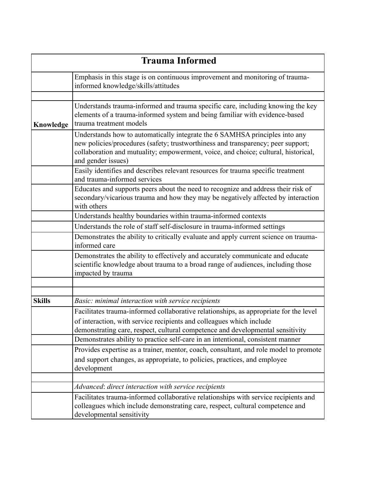| <b>Trauma Informed</b> |                                                                                                                                                                                                                                                                             |  |
|------------------------|-----------------------------------------------------------------------------------------------------------------------------------------------------------------------------------------------------------------------------------------------------------------------------|--|
|                        | Emphasis in this stage is on continuous improvement and monitoring of trauma-<br>informed knowledge/skills/attitudes                                                                                                                                                        |  |
|                        |                                                                                                                                                                                                                                                                             |  |
| Knowledge              | Understands trauma-informed and trauma specific care, including knowing the key<br>elements of a trauma-informed system and being familiar with evidence-based<br>trauma treatment models                                                                                   |  |
|                        | Understands how to automatically integrate the 6 SAMHSA principles into any<br>new policies/procedures (safety; trustworthiness and transparency; peer support;<br>collaboration and mutuality; empowerment, voice, and choice; cultural, historical,<br>and gender issues) |  |
|                        | Easily identifies and describes relevant resources for trauma specific treatment<br>and trauma-informed services                                                                                                                                                            |  |
|                        | Educates and supports peers about the need to recognize and address their risk of<br>secondary/vicarious trauma and how they may be negatively affected by interaction<br>with others                                                                                       |  |
|                        | Understands healthy boundaries within trauma-informed contexts                                                                                                                                                                                                              |  |
|                        | Understands the role of staff self-disclosure in trauma-informed settings                                                                                                                                                                                                   |  |
|                        | Demonstrates the ability to critically evaluate and apply current science on trauma-<br>informed care                                                                                                                                                                       |  |
|                        | Demonstrates the ability to effectively and accurately communicate and educate<br>scientific knowledge about trauma to a broad range of audiences, including those<br>impacted by trauma                                                                                    |  |
|                        |                                                                                                                                                                                                                                                                             |  |
|                        |                                                                                                                                                                                                                                                                             |  |
| <b>Skills</b>          | Basic: minimal interaction with service recipients                                                                                                                                                                                                                          |  |
|                        | Facilitates trauma-informed collaborative relationships, as appropriate for the level                                                                                                                                                                                       |  |
|                        | of interaction, with service recipients and colleagues which include                                                                                                                                                                                                        |  |
|                        | demonstrating care, respect, cultural competence and developmental sensitivity                                                                                                                                                                                              |  |
|                        | Demonstrates ability to practice self-care in an intentional, consistent manner                                                                                                                                                                                             |  |
|                        | Provides expertise as a trainer, mentor, coach, consultant, and role model to promote                                                                                                                                                                                       |  |
|                        | and support changes, as appropriate, to policies, practices, and employee<br>development                                                                                                                                                                                    |  |
|                        |                                                                                                                                                                                                                                                                             |  |
|                        | Advanced: direct interaction with service recipients                                                                                                                                                                                                                        |  |
|                        | Facilitates trauma-informed collaborative relationships with service recipients and<br>colleagues which include demonstrating care, respect, cultural competence and<br>developmental sensitivity                                                                           |  |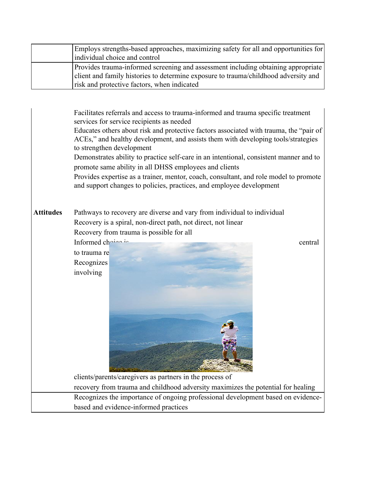|                                                                                                                                                                                                                                                                                                                                                                                                                                                                                                                                                                                                                                                                 | Employs strengths-based approaches, maximizing safety for all and opportunities for                                                                                                                                                                      |  |  |
|-----------------------------------------------------------------------------------------------------------------------------------------------------------------------------------------------------------------------------------------------------------------------------------------------------------------------------------------------------------------------------------------------------------------------------------------------------------------------------------------------------------------------------------------------------------------------------------------------------------------------------------------------------------------|----------------------------------------------------------------------------------------------------------------------------------------------------------------------------------------------------------------------------------------------------------|--|--|
|                                                                                                                                                                                                                                                                                                                                                                                                                                                                                                                                                                                                                                                                 | individual choice and control<br>Provides trauma-informed screening and assessment including obtaining appropriate<br>client and family histories to determine exposure to trauma/childhood adversity and<br>risk and protective factors, when indicated |  |  |
|                                                                                                                                                                                                                                                                                                                                                                                                                                                                                                                                                                                                                                                                 |                                                                                                                                                                                                                                                          |  |  |
| Facilitates referrals and access to trauma-informed and trauma specific treatment<br>services for service recipients as needed<br>Educates others about risk and protective factors associated with trauma, the "pair of<br>ACEs," and healthy development, and assists them with developing tools/strategies<br>to strengthen development<br>Demonstrates ability to practice self-care in an intentional, consistent manner and to<br>promote same ability in all DHSS employees and clients<br>Provides expertise as a trainer, mentor, coach, consultant, and role model to promote<br>and support changes to policies, practices, and employee development |                                                                                                                                                                                                                                                          |  |  |
| <b>Attitudes</b>                                                                                                                                                                                                                                                                                                                                                                                                                                                                                                                                                                                                                                                | Pathways to recovery are diverse and vary from individual to individual<br>Recovery is a spiral, non-direct path, not direct, not linear<br>Recovery from trauma is possible for all                                                                     |  |  |
|                                                                                                                                                                                                                                                                                                                                                                                                                                                                                                                                                                                                                                                                 | Informed chaina in<br>central                                                                                                                                                                                                                            |  |  |
|                                                                                                                                                                                                                                                                                                                                                                                                                                                                                                                                                                                                                                                                 | to trauma re<br>Recognizes<br>involving                                                                                                                                                                                                                  |  |  |
|                                                                                                                                                                                                                                                                                                                                                                                                                                                                                                                                                                                                                                                                 | clients/parents/caregivers as partners in the process of                                                                                                                                                                                                 |  |  |
|                                                                                                                                                                                                                                                                                                                                                                                                                                                                                                                                                                                                                                                                 | recovery from trauma and childhood adversity maximizes the potential for healing                                                                                                                                                                         |  |  |
|                                                                                                                                                                                                                                                                                                                                                                                                                                                                                                                                                                                                                                                                 | Recognizes the importance of ongoing professional development based on evidence-                                                                                                                                                                         |  |  |
|                                                                                                                                                                                                                                                                                                                                                                                                                                                                                                                                                                                                                                                                 | based and evidence-informed practices                                                                                                                                                                                                                    |  |  |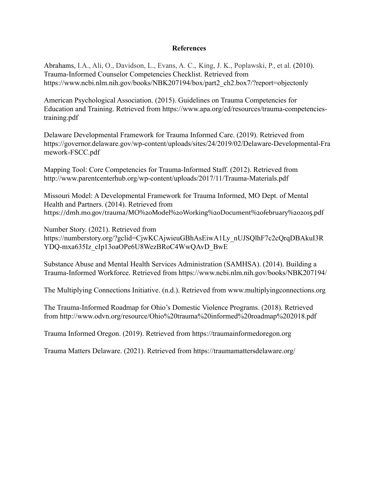## **References**

Abrahams, I.A., Ali, O., Davidson, L., Evans, A. C., King, J. K., Poplawski, P., et al. (2010). Trauma-Informed Counselor Competencies Checklist. Retrieved from https:/[/www.ncbi.nlm.nih.gov/books/NBK207194/box/part2\\_ch2.box7/?report=objectonly](http://www.ncbi.nlm.nih.gov/books/NBK207194/box/part2_ch2.box7/?report=objectonly)

American Psychological Association. (2015). Guidelines on Trauma Competencies for Education and Training. Retrieved from https:/[/www.apa.org/ed/resources/trauma-competencies](http://www.apa.org/ed/resources/trauma-competencies-)training.pdf

Delaware Developmental Framework for Trauma Informed Care. (2019). Retrieved from https://governor.delaware.gov/wp-content/uploads/sites/24/2019/02/Delaware-Developmental-Fra mework-FSCC.pdf

Mapping Tool: Core Competencies for Trauma-Informed Staff. (2012). Retrieved from <http://www.parentcenterhub.org/wp-content/uploads/2017/11/Trauma-Materials.pdf>

Missouri Model: A Developmental Framework for Trauma Informed, MO Dept. of Mental Health and Partners. (2014). Retrieved from https://dmh.mo.gov/trauma/MO%20Model%20Working%20Document%20february%202015.pdf

Number Story. (2021). Retrieved from https://numberstory.org/?gclid=CjwKCAjwieuGBhAsEiwA1Ly\_nUJSQlhF7c2cQrqDBAkuI3R YDQ-mxa635Iz\_cIp13oaOPe6U8WezBRoC4WwQAvD\_BwE

Substance Abuse and Mental Health Services Administration (SAMHSA). (2014). Building a Trauma-Informed Workforce. Retrieved from https:/[/www.ncbi.nlm.nih.gov/books/NBK207194/](http://www.ncbi.nlm.nih.gov/books/NBK207194/)

The Multiplying Connections Initiative. (n.d.). Retrieved from [www.multiplyingconnections.org](http://www.multiplyingconnections.org/)

The Trauma-Informed Roadmap for Ohio's Domestic Violence Programs. (2018). Retrieved from <http://www.odvn.org/resource/Ohio%20trauma%20informed%20roadmap%202018.pdf>

Trauma Informed Oregon. (2019). Retrieved from https://traumainformedoregon.org

Trauma Matters Delaware. (2021). Retrieved from https://traumamattersdelaware.org/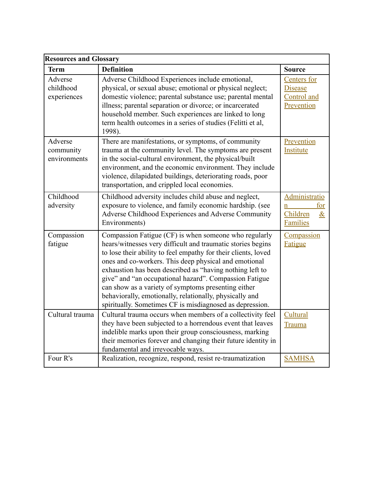| <b>Resources and Glossary</b>        |                                                                                                                                                                                                                                                                                                                                                                                                                                                                                                                                                     |                                                                          |
|--------------------------------------|-----------------------------------------------------------------------------------------------------------------------------------------------------------------------------------------------------------------------------------------------------------------------------------------------------------------------------------------------------------------------------------------------------------------------------------------------------------------------------------------------------------------------------------------------------|--------------------------------------------------------------------------|
| <b>Term</b>                          | <b>Definition</b>                                                                                                                                                                                                                                                                                                                                                                                                                                                                                                                                   | <b>Source</b>                                                            |
| Adverse<br>childhood<br>experiences  | Adverse Childhood Experiences include emotional,<br>physical, or sexual abuse; emotional or physical neglect;<br>domestic violence; parental substance use; parental mental<br>illness; parental separation or divorce; or incarcerated<br>household member. Such experiences are linked to long<br>term health outcomes in a series of studies (Felitti et al,<br>1998).                                                                                                                                                                           | Centers for<br><b>Disease</b><br>Control and<br>Prevention               |
| Adverse<br>community<br>environments | There are manifestations, or symptoms, of community<br>trauma at the community level. The symptoms are present<br>in the social-cultural environment, the physical/built<br>environment, and the economic environment. They include<br>violence, dilapidated buildings, deteriorating roads, poor<br>transportation, and crippled local economies.                                                                                                                                                                                                  | Prevention<br>Institute                                                  |
| Childhood<br>adversity               | Childhood adversity includes child abuse and neglect,<br>exposure to violence, and family economic hardship. (see<br>Adverse Childhood Experiences and Adverse Community<br>Environments)                                                                                                                                                                                                                                                                                                                                                           | <b>Administratio</b><br>for<br>n.<br>Children<br>$\&$<br><b>Families</b> |
| Compassion<br>fatigue                | Compassion Fatigue (CF) is when someone who regularly<br>hears/witnesses very difficult and traumatic stories begins<br>to lose their ability to feel empathy for their clients, loved<br>ones and co-workers. This deep physical and emotional<br>exhaustion has been described as "having nothing left to<br>give" and "an occupational hazard". Compassion Fatigue<br>can show as a variety of symptoms presenting either<br>behaviorally, emotionally, relationally, physically and<br>spiritually. Sometimes CF is misdiagnosed as depression. | Compassion<br><b>Fatigue</b>                                             |
| Cultural trauma                      | Cultural trauma occurs when members of a collectivity feel<br>they have been subjected to a horrendous event that leaves<br>indelible marks upon their group consciousness, marking<br>their memories forever and changing their future identity in<br>fundamental and irrevocable ways.                                                                                                                                                                                                                                                            | Cultural<br>Trauma                                                       |
| Four R's                             | Realization, recognize, respond, resist re-traumatization                                                                                                                                                                                                                                                                                                                                                                                                                                                                                           | <b>SAMHSA</b>                                                            |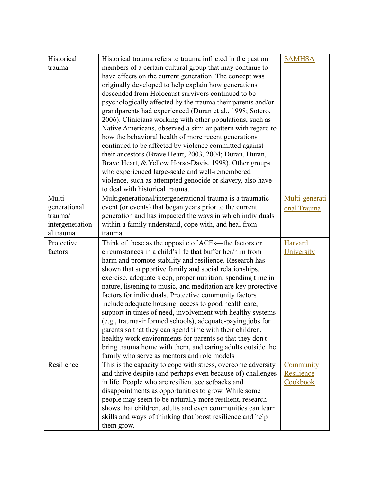| Historical      | Historical trauma refers to trauma inflicted in the past on   | <b>SAMHSA</b>    |
|-----------------|---------------------------------------------------------------|------------------|
| trauma          | members of a certain cultural group that may continue to      |                  |
|                 | have effects on the current generation. The concept was       |                  |
|                 | originally developed to help explain how generations          |                  |
|                 | descended from Holocaust survivors continued to be            |                  |
|                 | psychologically affected by the trauma their parents and/or   |                  |
|                 | grandparents had experienced (Duran et al., 1998; Sotero,     |                  |
|                 | 2006). Clinicians working with other populations, such as     |                  |
|                 |                                                               |                  |
|                 | Native Americans, observed a similar pattern with regard to   |                  |
|                 | how the behavioral health of more recent generations          |                  |
|                 | continued to be affected by violence committed against        |                  |
|                 | their ancestors (Brave Heart, 2003, 2004; Duran, Duran,       |                  |
|                 | Brave Heart, & Yellow Horse-Davis, 1998). Other groups        |                  |
|                 | who experienced large-scale and well-remembered               |                  |
|                 | violence, such as attempted genocide or slavery, also have    |                  |
|                 | to deal with historical trauma.                               |                  |
| Multi-          | Multigenerational/intergenerational trauma is a traumatic     | Multi-generati   |
| generational    | event (or events) that began years prior to the current       | onal Trauma      |
| trauma/         | generation and has impacted the ways in which individuals     |                  |
| intergeneration | within a family understand, cope with, and heal from          |                  |
| al trauma       | trauma.                                                       |                  |
| Protective      | Think of these as the opposite of ACEs—the factors or         | <b>Harvard</b>   |
| factors         | circumstances in a child's life that buffer her/him from      | University       |
|                 | harm and promote stability and resilience. Research has       |                  |
|                 | shown that supportive family and social relationships,        |                  |
|                 | exercise, adequate sleep, proper nutrition, spending time in  |                  |
|                 | nature, listening to music, and meditation are key protective |                  |
|                 | factors for individuals. Protective community factors         |                  |
|                 | include adequate housing, access to good health care,         |                  |
|                 | support in times of need, involvement with healthy systems    |                  |
|                 | (e.g., trauma-informed schools), adequate-paying jobs for     |                  |
|                 | parents so that they can spend time with their children,      |                  |
|                 | healthy work environments for parents so that they don't      |                  |
|                 | bring trauma home with them, and caring adults outside the    |                  |
|                 | family who serve as mentors and role models                   |                  |
| Resilience      | This is the capacity to cope with stress, overcome adversity  | <b>Community</b> |
|                 | and thrive despite (and perhaps even because of) challenges   | Resilience       |
|                 | in life. People who are resilient see setbacks and            | Cookbook         |
|                 | disappointments as opportunities to grow. While some          |                  |
|                 | people may seem to be naturally more resilient, research      |                  |
|                 | shows that children, adults and even communities can learn    |                  |
|                 | skills and ways of thinking that boost resilience and help    |                  |
|                 | them grow.                                                    |                  |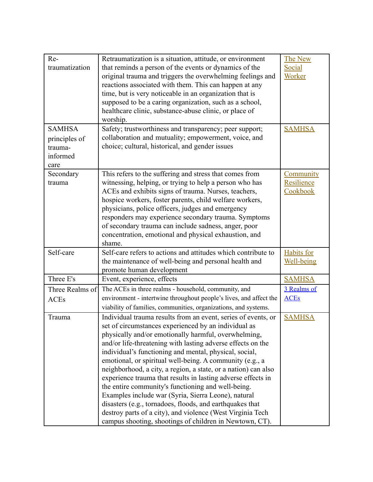| Re-<br>traumatization                        | Retraumatization is a situation, attitude, or environment<br>that reminds a person of the events or dynamics of the<br>original trauma and triggers the overwhelming feelings and<br>reactions associated with them. This can happen at any<br>time, but is very noticeable in an organization that is<br>supposed to be a caring organization, such as a school,<br>healthcare clinic, substance-abuse clinic, or place of<br>worship.                                                                                                                                                                                                                                                                                                                                                                | The New<br>Social<br>Worker     |
|----------------------------------------------|--------------------------------------------------------------------------------------------------------------------------------------------------------------------------------------------------------------------------------------------------------------------------------------------------------------------------------------------------------------------------------------------------------------------------------------------------------------------------------------------------------------------------------------------------------------------------------------------------------------------------------------------------------------------------------------------------------------------------------------------------------------------------------------------------------|---------------------------------|
| <b>SAMHSA</b>                                | Safety; trustworthiness and transparency; peer support;                                                                                                                                                                                                                                                                                                                                                                                                                                                                                                                                                                                                                                                                                                                                                | <b>SAMHSA</b>                   |
| principles of<br>trauma-<br>informed<br>care | collaboration and mutuality; empowerment, voice, and<br>choice; cultural, historical, and gender issues                                                                                                                                                                                                                                                                                                                                                                                                                                                                                                                                                                                                                                                                                                |                                 |
| Secondary                                    | This refers to the suffering and stress that comes from                                                                                                                                                                                                                                                                                                                                                                                                                                                                                                                                                                                                                                                                                                                                                | Community                       |
| trauma                                       | witnessing, helping, or trying to help a person who has<br>ACEs and exhibits signs of trauma. Nurses, teachers,<br>hospice workers, foster parents, child welfare workers,<br>physicians, police officers, judges and emergency<br>responders may experience secondary trauma. Symptoms<br>of secondary trauma can include sadness, anger, poor<br>concentration, emotional and physical exhaustion, and<br>shame.                                                                                                                                                                                                                                                                                                                                                                                     | Resilience<br>Cookbook          |
| Self-care                                    | Self-care refers to actions and attitudes which contribute to<br>the maintenance of well-being and personal health and<br>promote human development                                                                                                                                                                                                                                                                                                                                                                                                                                                                                                                                                                                                                                                    | <b>Habits</b> for<br>Well-being |
| Three E's                                    | Event, experience, effects                                                                                                                                                                                                                                                                                                                                                                                                                                                                                                                                                                                                                                                                                                                                                                             | <b>SAMHSA</b>                   |
| Three Realms of                              | The ACEs in three realms - household, community, and                                                                                                                                                                                                                                                                                                                                                                                                                                                                                                                                                                                                                                                                                                                                                   | 3 Realms of                     |
| <b>ACEs</b>                                  | environment - intertwine throughout people's lives, and affect the<br>viability of families, communities, organizations, and systems.                                                                                                                                                                                                                                                                                                                                                                                                                                                                                                                                                                                                                                                                  | <b>ACEs</b>                     |
| Trauma                                       | Individual trauma results from an event, series of events, or<br>set of circumstances experienced by an individual as<br>physically and/or emotionally harmful, overwhelming,<br>and/or life-threatening with lasting adverse effects on the<br>individual's functioning and mental, physical, social,<br>emotional, or spiritual well-being. A community (e.g., a<br>neighborhood, a city, a region, a state, or a nation) can also<br>experience trauma that results in lasting adverse effects in<br>the entire community's functioning and well-being.<br>Examples include war (Syria, Sierra Leone), natural<br>disasters (e.g., tornadoes, floods, and earthquakes that<br>destroy parts of a city), and violence (West Virginia Tech<br>campus shooting, shootings of children in Newtown, CT). | <b>SAMHSA</b>                   |